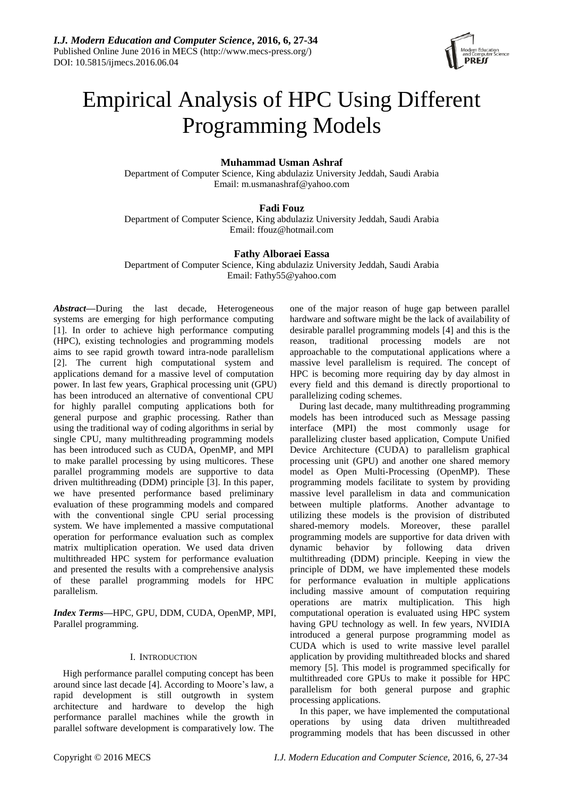

# Empirical Analysis of HPC Using Different Programming Models

# **Muhammad Usman Ashraf**

Department of Computer Science, King abdulaziz University Jeddah, Saudi Arabia Email: m.usmanashraf@yahoo.com

# **Fadi Fouz**

Department of Computer Science, King abdulaziz University Jeddah, Saudi Arabia Email: ffouz@hotmail.com

## **Fathy Alboraei Eassa**

Department of Computer Science, King abdulaziz University Jeddah, Saudi Arabia Email: Fathy55@yahoo.com

*Abstract***—**During the last decade, Heterogeneous systems are emerging for high performance computing [1]. In order to achieve high performance computing (HPC), existing technologies and programming models aims to see rapid growth toward intra-node parallelism [2]. The current high computational system and applications demand for a massive level of computation power. In last few years, Graphical processing unit (GPU) has been introduced an alternative of conventional CPU for highly parallel computing applications both for general purpose and graphic processing. Rather than using the traditional way of coding algorithms in serial by single CPU, many multithreading programming models has been introduced such as CUDA, OpenMP, and MPI to make parallel processing by using multicores. These parallel programming models are supportive to data driven multithreading (DDM) principle [3]. In this paper, we have presented performance based preliminary evaluation of these programming models and compared with the conventional single CPU serial processing system. We have implemented a massive computational operation for performance evaluation such as complex matrix multiplication operation. We used data driven multithreaded HPC system for performance evaluation and presented the results with a comprehensive analysis of these parallel programming models for HPC parallelism.

*Index Terms***—**HPC, GPU, DDM, CUDA, OpenMP, MPI, Parallel programming.

## I. INTRODUCTION

High performance parallel computing concept has been around since last decade [4]. According to Moore's law, a rapid development is still outgrowth in system architecture and hardware to develop the high performance parallel machines while the growth in parallel software development is comparatively low. The one of the major reason of huge gap between parallel hardware and software might be the lack of availability of desirable parallel programming models [4] and this is the reason, traditional processing models are not approachable to the computational applications where a massive level parallelism is required. The concept of HPC is becoming more requiring day by day almost in every field and this demand is directly proportional to parallelizing coding schemes.

During last decade, many multithreading programming models has been introduced such as Message passing interface (MPI) the most commonly usage for parallelizing cluster based application, Compute Unified Device Architecture (CUDA) to parallelism graphical processing unit (GPU) and another one shared memory model as Open Multi-Processing (OpenMP). These programming models facilitate to system by providing massive level parallelism in data and communication between multiple platforms. Another advantage to utilizing these models is the provision of distributed shared-memory models. Moreover, these parallel programming models are supportive for data driven with dynamic behavior by following data driven multithreading (DDM) principle. Keeping in view the principle of DDM, we have implemented these models for performance evaluation in multiple applications including massive amount of computation requiring operations are matrix multiplication. This high computational operation is evaluated using HPC system having GPU technology as well. In few years, NVIDIA introduced a general purpose programming model as CUDA which is used to write massive level parallel application by providing multithreaded blocks and shared memory [5]. This model is programmed specifically for multithreaded core GPUs to make it possible for HPC parallelism for both general purpose and graphic processing applications.

In this paper, we have implemented the computational operations by using data driven multithreaded programming models that has been discussed in other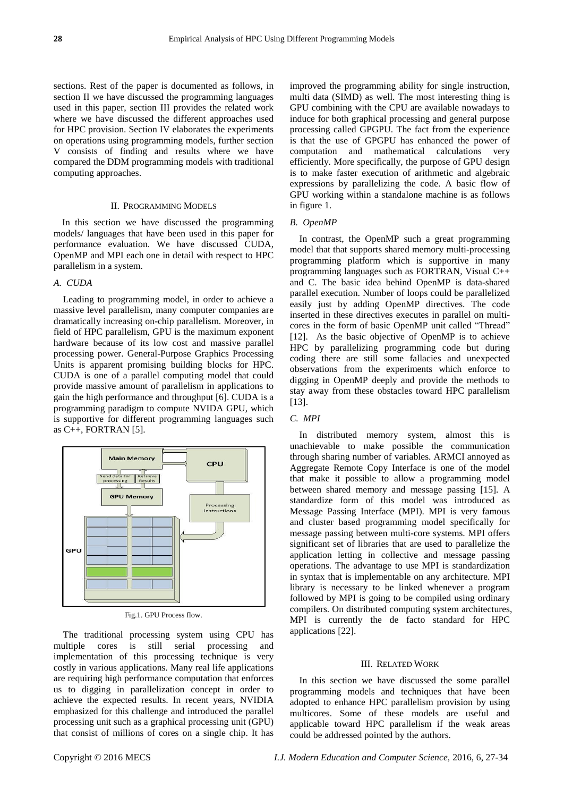sections. Rest of the paper is documented as follows, in section II we have discussed the programming languages used in this paper, section III provides the related work where we have discussed the different approaches used for HPC provision. Section IV elaborates the experiments on operations using programming models, further section V consists of finding and results where we have compared the DDM programming models with traditional computing approaches.

## II. PROGRAMMING MODELS

In this section we have discussed the programming models/ languages that have been used in this paper for performance evaluation. We have discussed CUDA, OpenMP and MPI each one in detail with respect to HPC parallelism in a system.

## *A. CUDA*

Leading to programming model, in order to achieve a massive level parallelism, many computer companies are dramatically increasing on-chip parallelism. Moreover, in field of HPC parallelism, GPU is the maximum exponent hardware because of its low cost and massive parallel processing power. General-Purpose Graphics Processing Units is apparent promising building blocks for HPC. CUDA is one of a parallel computing model that could provide massive amount of parallelism in applications to gain the high performance and throughput [6]. CUDA is a programming paradigm to compute NVIDA GPU, which is supportive for different programming languages such as C++, FORTRAN [5].



Fig.1. GPU Process flow.

The traditional processing system using CPU has multiple cores is still serial processing and implementation of this processing technique is very costly in various applications. Many real life applications are requiring high performance computation that enforces us to digging in parallelization concept in order to achieve the expected results. In recent years, NVIDIA emphasized for this challenge and introduced the parallel processing unit such as a graphical processing unit (GPU) that consist of millions of cores on a single chip. It has

improved the programming ability for single instruction, multi data (SIMD) as well. The most interesting thing is GPU combining with the CPU are available nowadays to induce for both graphical processing and general purpose processing called GPGPU. The fact from the experience is that the use of GPGPU has enhanced the power of computation and mathematical calculations very efficiently. More specifically, the purpose of GPU design is to make faster execution of arithmetic and algebraic expressions by parallelizing the code. A basic flow of GPU working within a standalone machine is as follows in figure 1.

### *B. OpenMP*

In contrast, the OpenMP such a great programming model that that supports shared memory multi-processing programming platform which is supportive in many programming languages such as FORTRAN, Visual C++ and C. The basic idea behind OpenMP is data-shared parallel execution. Number of loops could be parallelized easily just by adding OpenMP directives. The code inserted in these directives executes in parallel on multicores in the form of basic OpenMP unit called "Thread" [12]. As the basic objective of OpenMP is to achieve HPC by parallelizing programming code but during coding there are still some fallacies and unexpected observations from the experiments which enforce to digging in OpenMP deeply and provide the methods to stay away from these obstacles toward HPC parallelism [13].

## *C. MPI*

In distributed memory system, almost this is unachievable to make possible the communication through sharing number of variables. ARMCI annoyed as Aggregate Remote Copy Interface is one of the model that make it possible to allow a programming model between shared memory and message passing [15]. A standardize form of this model was introduced as Message Passing Interface (MPI). MPI is very famous and cluster based programming model specifically for message passing between multi-core systems. MPI offers significant set of libraries that are used to parallelize the application letting in collective and message passing operations. The advantage to use MPI is standardization in syntax that is implementable on any architecture. MPI library is necessary to be linked whenever a program followed by MPI is going to be compiled using ordinary compilers. On distributed computing system architectures, MPI is currently the de facto standard for HPC applications [22].

## III. RELATED WORK

In this section we have discussed the some parallel programming models and techniques that have been adopted to enhance HPC parallelism provision by using multicores. Some of these models are useful and applicable toward HPC parallelism if the weak areas could be addressed pointed by the authors.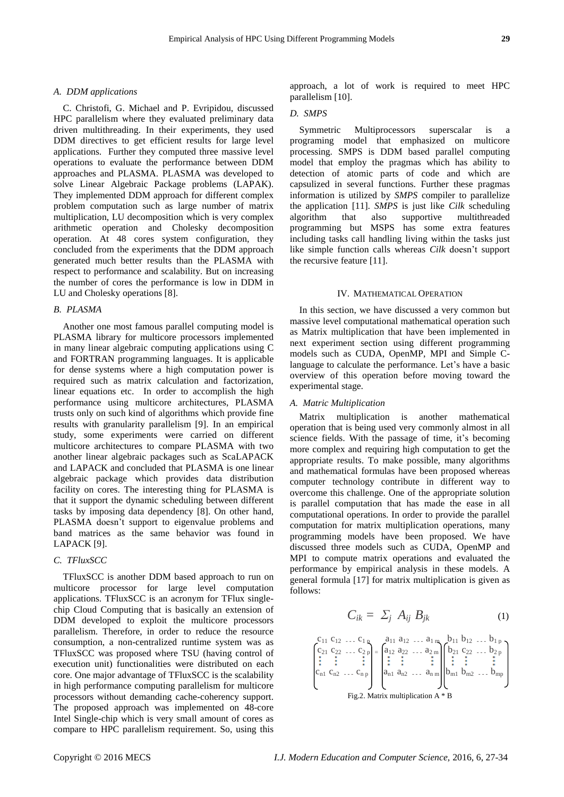## *A. DDM applications*

C. Christofi, G. Michael and P. Evripidou, discussed HPC parallelism where they evaluated preliminary data driven multithreading. In their experiments, they used DDM directives to get efficient results for large level applications. Further they computed three massive level operations to evaluate the performance between DDM approaches and PLASMA. PLASMA was developed to solve Linear Algebraic Package problems (LAPAK). They implemented DDM approach for different complex problem computation such as large number of matrix multiplication, LU decomposition which is very complex arithmetic operation and Cholesky decomposition operation. At 48 cores system configuration, they concluded from the experiments that the DDM approach generated much better results than the PLASMA with respect to performance and scalability. But on increasing the number of cores the performance is low in DDM in LU and Cholesky operations [8].

## *B. PLASMA*

Another one most famous parallel computing model is PLASMA library for multicore processors implemented in many linear algebraic computing applications using C and FORTRAN programming languages. It is applicable for dense systems where a high computation power is required such as matrix calculation and factorization, linear equations etc. In order to accomplish the high performance using multicore architectures, PLASMA trusts only on such kind of algorithms which provide fine results with granularity parallelism [9]. In an empirical study, some experiments were carried on different multicore architectures to compare PLASMA with two another linear algebraic packages such as ScaLAPACK and LAPACK and concluded that PLASMA is one linear algebraic package which provides data distribution facility on cores. The interesting thing for PLASMA is that it support the dynamic scheduling between different tasks by imposing data dependency [8]. On other hand, PLASMA doesn't support to eigenvalue problems and band matrices as the same behavior was found in LAPACK [9].

## *C. TFluxSCC*

TFluxSCC is another DDM based approach to run on multicore processor for large level computation applications. TFluxSCC is an acronym for TFlux singlechip Cloud Computing that is basically an extension of DDM developed to exploit the multicore processors parallelism. Therefore, in order to reduce the resource consumption, a non-centralized runtime system was as TFluxSCC was proposed where TSU (having control of execution unit) functionalities were distributed on each core. One major advantage of TFluxSCC is the scalability in high performance computing parallelism for multicore processors without demanding cache-coherency support. The proposed approach was implemented on 48-core Intel Single-chip which is very small amount of cores as compare to HPC parallelism requirement. So, using this

approach, a lot of work is required to meet HPC parallelism [10].

# *D. SMPS*

Symmetric Multiprocessors superscalar is a programing model that emphasized on multicore processing. SMPS is DDM based parallel computing model that employ the pragmas which has ability to detection of atomic parts of code and which are capsulized in several functions. Further these pragmas information is utilized by *SMPS* compiler to parallelize the application [11]. *SMPS* is just like *Cilk* scheduling algorithm that also supportive multithreaded programming but MSPS has some extra features including tasks call handling living within the tasks just like simple function calls whereas *Cilk* doesn't support the recursive feature [11].

## IV. MATHEMATICAL OPERATION

In this section, we have discussed a very common but massive level computational mathematical operation such as Matrix multiplication that have been implemented in next experiment section using different programming models such as CUDA, OpenMP, MPI and Simple Clanguage to calculate the performance. Let's have a basic overview of this operation before moving toward the experimental stage.

#### *A. Matric Multiplication*

Matrix multiplication is another mathematical operation that is being used very commonly almost in all science fields. With the passage of time, it's becoming more complex and requiring high computation to get the appropriate results. To make possible, many algorithms and mathematical formulas have been proposed whereas computer technology contribute in different way to overcome this challenge. One of the appropriate solution is parallel computation that has made the ease in all computational operations. In order to provide the parallel computation for matrix multiplication operations, many programming models have been proposed. We have discussed three models such as CUDA, OpenMP and MPI to compute matrix operations and evaluated the performance by empirical analysis in these models. A general formula [17] for matrix multiplication is given as follows:

$$
C_{ik} = \sum_j A_{ij} B_{jk} \tag{1}
$$

$$
\begin{pmatrix}\nc_{11} & c_{12} & \dots & c_{1n} \\
c_{21} & c_{22} & \dots & c_{2p} \\
\vdots & \vdots & & \vdots \\
c_{n1} & c_{n2} & \dots & c_{np}\n\end{pmatrix}\n=\n\begin{pmatrix}\na_{11} & a_{12} & \dots & a_{1m} \\
a_{12} & a_{22} & \dots & a_{2m} \\
\vdots & \vdots & & \vdots \\
a_{n1} & a_{n2} & \dots & a_{nm}\n\end{pmatrix}\n\begin{pmatrix}\nb_{11} & b_{12} & \dots & b_{1p} \\
b_{21} & c_{22} & \dots & b_{2p} \\
\vdots & \vdots & & \vdots \\
b_{m1} & b_{m2} & \dots & b_{mp}\n\end{pmatrix}
$$
\nFig.2. Matrix multiplication A \* B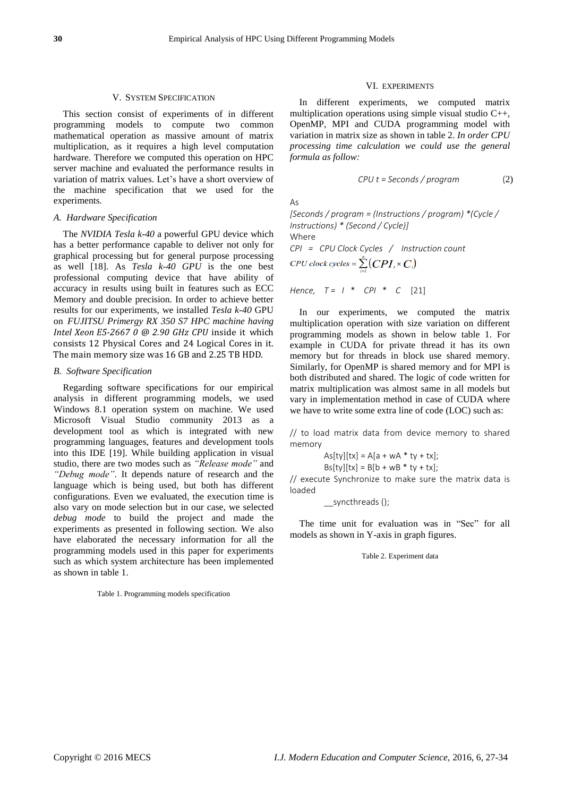### V. SYSTEM SPECIFICATION

This section consist of experiments of in different programming models to compute two common mathematical operation as massive amount of matrix multiplication, as it requires a high level computation hardware. Therefore we computed this operation on HPC server machine and evaluated the performance results in variation of matrix values. Let's have a short overview of the machine specification that we used for the experiments.

## *A. Hardware Specification*

The *NVIDIA Tesla k-40* a powerful GPU device which has a better performance capable to deliver not only for graphical processing but for general purpose processing as well [18]. As *Tesla k-40 GPU* is the one best professional computing device that have ability of accuracy in results using built in features such as ECC Memory and double precision. In order to achieve better results for our experiments, we installed *Tesla k-40* GPU on *FUJITSU Primergy RX 350 S7 HPC machine having Intel Xeon E5-2667 0 @ 2.90 GHz CPU* inside it which consists 12 Physical Cores and 24 Logical Cores in it. The main memory size was 16 GB and 2.25 TB HDD.

## *B. Software Specification*

Regarding software specifications for our empirical analysis in different programming models, we used Windows 8.1 operation system on machine. We used Microsoft Visual Studio community 2013 as a development tool as which is integrated with new programming languages, features and development tools into this IDE [19]. While building application in visual studio, there are two modes such as *"Release mode"* and *"Debug mode"*. It depends nature of research and the language which is being used, but both has different configurations. Even we evaluated, the execution time is also vary on mode selection but in our case, we selected *debug mode* to build the project and made the experiments as presented in following section. We also have elaborated the necessary information for all the programming models used in this paper for experiments such as which system architecture has been implemented as shown in table 1.

### Table 1. Programming models specification

## VI. EXPERIMENTS

In different experiments, we computed matrix multiplication operations using simple visual studio C++, OpenMP, MPI and CUDA programming model with variation in matrix size as shown in table 2. *In order CPU processing time calculation we could use the general formula as follow:*

$$
CPU \ t = Seconds / program
$$
 (2)

 $A<sub>S</sub>$ 

*[Seconds / program = (Instructions / program) \*(Cycle / Instructions) \* (Second / Cycle)]* Where *CPI = CPU Clock Cycles / Instruction count*   $CPU \, clock \, cycles = \sum_{i}^{n} (CPI_i \times C_i)$ 

*Hence, T = I* \* *CPI* \* *C* [21]

In our experiments, we computed the matrix multiplication operation with size variation on different programming models as shown in below table 1. For example in CUDA for private thread it has its own memory but for threads in block use shared memory. Similarly, for OpenMP is shared memory and for MPI is both distributed and shared. The logic of code written for matrix multiplication was almost same in all models but vary in implementation method in case of CUDA where we have to write some extra line of code (LOC) such as:

// to load matrix data from device memory to shared memory

 $As[ty][tx] = A[a + wA * ty + tx];$ 

 $Bs[ty][tx] = B[b + WB * ty + tx];$ 

// execute Synchronize to make sure the matrix data is loaded

\_\_syncthreads ();

The time unit for evaluation was in "Sec" for all models as shown in Y-axis in graph figures.

Table 2. Experiment data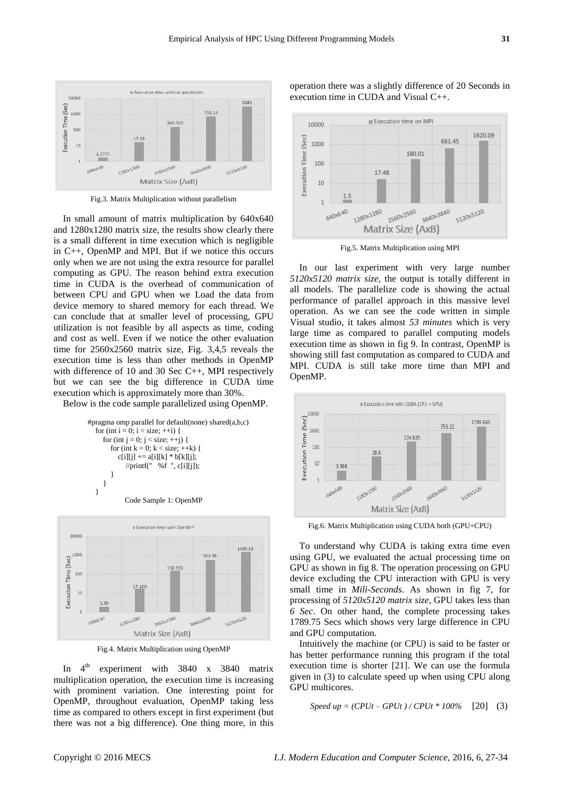

Fig.3. Matrix Multiplication without parallelism

In small amount of matrix multiplication by 640x640 and 1280x1280 matrix size, the results show clearly there is a small different in time execution which is negligible in C++, OpenMP and MPI. But if we notice this occurs only when we are not using the extra resource for parallel computing as GPU. The reason behind extra execution time in CUDA is the overhead of communication of between CPU and GPU when we Load the data from device memory to shared memory for each thread. We can conclude that at smaller level of processing, GPU utilization is not feasible by all aspects as time, coding and cost as well. Even if we notice the other evaluation time for 2560x2560 matrix size, Fig. 3,4,5 reveals the execution time is less than other methods in OpenMP with difference of 10 and 30 Sec C++, MPI respectively but we can see the big difference in CUDA time execution which is approximately more than 30%.

Below is the code sample parallelized using OpenMP.





Fig.4. Matrix Multiplication using OpenMP

In  $4^{\text{th}}$ experiment with 3840 x 3840 matrix multiplication operation, the execution time is increasing with prominent variation. One interesting point for OpenMP, throughout evaluation, OpenMP taking less time as compared to others except in first experiment (but there was not a big difference). One thing more, in this





Fig.5. Matrix Multiplication using MPI

In our last experiment with very large number *5120x5120 matrix size*, the output is totally different in all models. The parallelize code is showing the actual performance of parallel approach in this massive level operation. As we can see the code written in simple Visual studio, it takes almost *53 minutes* which is very large time as compared to parallel computing models execution time as shown in fig 9. In contrast, OpenMP is showing still fast computation as compared to CUDA and MPI. CUDA is still take more time than MPI and OpenMP.



Fig.6. Matrix Multiplication using CUDA both (GPU+CPU)

To understand why CUDA is taking extra time even using GPU, we evaluated the actual processing time on GPU as shown in fig 8. The operation processing on GPU device excluding the CPU interaction with GPU is very small time in *Mili-Seconds*. As shown in fig 7, for processing of *5120x5120 matrix size*, GPU takes less than *6 Sec*. On other hand, the complete processing takes 1789.75 Secs which shows very large difference in CPU and GPU computation.

Intuitively the machine (or CPU) is said to be faster or has better performance running this program if the total execution time is shorter [21]. We can use the formula given in (3) to calculate speed up when using CPU along GPU multicores.

$$
Speed up = (CPUt - GPUt) / CPUt * 100\% [20] (3)
$$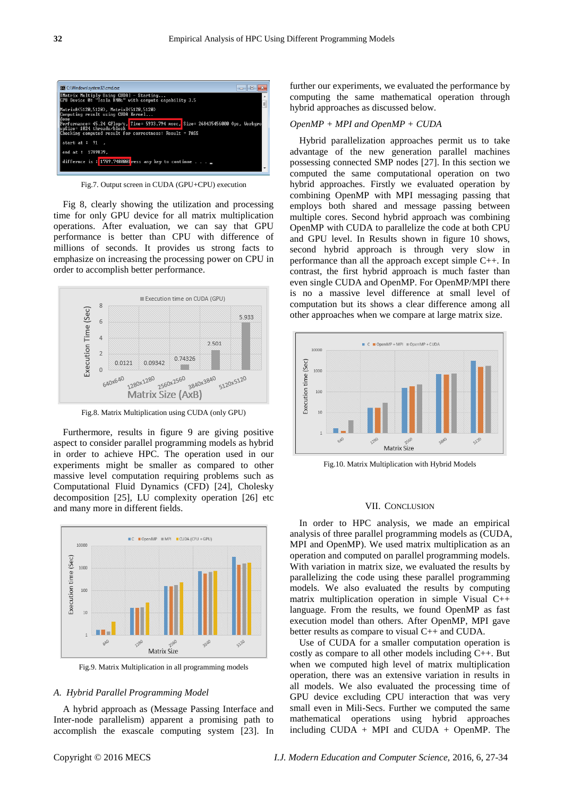

Fig.7. Output screen in CUDA (GPU+CPU) execution

Fig 8, clearly showing the utilization and processing time for only GPU device for all matrix multiplication operations. After evaluation, we can say that GPU performance is better than CPU with difference of millions of seconds. It provides us strong facts to emphasize on increasing the processing power on CPU in order to accomplish better performance.



Fig.8. Matrix Multiplication using CUDA (only GPU)

Furthermore, results in figure 9 are giving positive aspect to consider parallel programming models as hybrid in order to achieve HPC. The operation used in our experiments might be smaller as compared to other massive level computation requiring problems such as Computational Fluid Dynamics (CFD) [24], Cholesky decomposition [25], LU complexity operation [26] etc and many more in different fields.



Fig.9. Matrix Multiplication in all programming models

#### *A. Hybrid Parallel Programming Model*

A hybrid approach as (Message Passing Interface and Inter-node parallelism) apparent a promising path to accomplish the exascale computing system [23]. In further our experiments, we evaluated the performance by computing the same mathematical operation through hybrid approaches as discussed below.

## *OpenMP + MPI and OpenMP + CUDA*

Hybrid parallelization approaches permit us to take advantage of the new generation parallel machines possessing connected SMP nodes [27]. In this section we computed the same computational operation on two hybrid approaches. Firstly we evaluated operation by combining OpenMP with MPI messaging passing that employs both shared and message passing between multiple cores. Second hybrid approach was combining OpenMP with CUDA to parallelize the code at both CPU and GPU level. In Results shown in figure 10 shows, second hybrid approach is through very slow in performance than all the approach except simple C++. In contrast, the first hybrid approach is much faster than even single CUDA and OpenMP. For OpenMP/MPI there is no a massive level difference at small level of computation but its shows a clear difference among all other approaches when we compare at large matrix size.



Fig.10. Matrix Multiplication with Hybrid Models

#### VII. CONCLUSION

In order to HPC analysis, we made an empirical analysis of three parallel programming models as (CUDA, MPI and OpenMP). We used matrix multiplication as an operation and computed on parallel programming models. With variation in matrix size, we evaluated the results by parallelizing the code using these parallel programming models. We also evaluated the results by computing matrix multiplication operation in simple Visual C++ language. From the results, we found OpenMP as fast execution model than others. After OpenMP, MPI gave better results as compare to visual C++ and CUDA.

Use of CUDA for a smaller computation operation is costly as compare to all other models including C++. But when we computed high level of matrix multiplication operation, there was an extensive variation in results in all models. We also evaluated the processing time of GPU device excluding CPU interaction that was very small even in Mili-Secs. Further we computed the same mathematical operations using hybrid approaches including  $CUDA + MPI$  and  $CUDA + OpenMP$ . The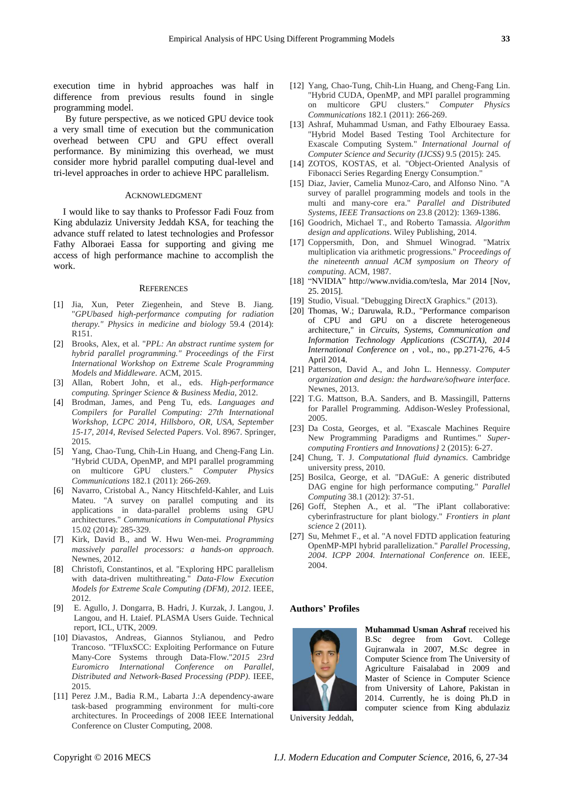execution time in hybrid approaches was half in difference from previous results found in single programming model.

By future perspective, as we noticed GPU device took a very small time of execution but the communication overhead between CPU and GPU effect overall performance. By minimizing this overhead, we must consider more hybrid parallel computing dual-level and tri-level approaches in order to achieve HPC parallelism.

## ACKNOWLEDGMENT

I would like to say thanks to Professor Fadi Fouz from King abdulaziz University Jeddah KSA, for teaching the advance stuff related to latest technologies and Professor Fathy Alboraei Eassa for supporting and giving me access of high performance machine to accomplish the work.

#### **REFERENCES**

- [1] Jia, Xun, Peter Ziegenhein, and Steve B. Jiang. "*GPUbased high-performance computing for radiation therapy." Physics in medicine and biology* 59.4 (2014): R151.
- [2] Brooks, Alex, et al. "*PPL: An abstract runtime system for hybrid parallel programming." Proceedings of the First International Workshop on Extreme Scale Programming Models and Middleware*. ACM, 2015.
- [3] Allan, Robert John, et al., eds. *High-performance computing. Springer Science & Business Media*, 2012.
- [4] Brodman, James, and Peng Tu, eds. *Languages and Compilers for Parallel Computing: 27th International Workshop, LCPC 2014, Hillsboro, OR, USA, September 15-17, 2014, Revised Selected Papers*. Vol. 8967. Springer, 2015.
- [5] Yang, Chao-Tung, Chih-Lin Huang, and Cheng-Fang Lin. "Hybrid CUDA, OpenMP, and MPI parallel programming on multicore GPU clusters." *Computer Physics Communications* 182.1 (2011): 266-269.
- [6] Navarro, Cristobal A., Nancy Hitschfeld-Kahler, and Luis Mateu. "A survey on parallel computing and its applications in data-parallel problems using GPU architectures." *Communications in Computational Physics* 15.02 (2014): 285-329.
- [7] Kirk, David B., and W. Hwu Wen-mei. *Programming massively parallel processors: a hands-on approach*. Newnes, 2012.
- [8] Christofi, Constantinos, et al. "Exploring HPC parallelism with data-driven multithreating." *Data-Flow Execution Models for Extreme Scale Computing (DFM), 2012*. IEEE, 2012.
- [9] E. Agullo, J. Dongarra, B. Hadri, J. Kurzak, J. Langou, J. Langou, and H. Ltaief. PLASMA Users Guide. Technical report, ICL, UTK, 2009.
- [10] Diavastos, Andreas, Giannos Stylianou, and Pedro Trancoso. "TFluxSCC: Exploiting Performance on Future Many-Core Systems through Data-Flow."*2015 23rd Euromicro International Conference on Parallel, Distributed and Network-Based Processing (PDP)*. IEEE, 2015.
- [11] Perez J.M., Badia R.M., Labarta J.:A dependency-aware task-based programming environment for multi-core architectures. In Proceedings of 2008 IEEE International Conference on Cluster Computing, 2008.
- [12] Yang, Chao-Tung, Chih-Lin Huang, and Cheng-Fang Lin. "Hybrid CUDA, OpenMP, and MPI parallel programming on multicore GPU clusters." *Computer Physics Communications* 182.1 (2011): 266-269.
- [13] Ashraf, Muhammad Usman, and Fathy Elbouraey Eassa. "Hybrid Model Based Testing Tool Architecture for Exascale Computing System." *International Journal of Computer Science and Security (IJCSS)* 9.5 (2015): 245.
- [14] ZOTOS, KOSTAS, et al. "Object-Oriented Analysis of Fibonacci Series Regarding Energy Consumption."
- [15] Diaz, Javier, Camelia Munoz-Caro, and Alfonso Nino. "A survey of parallel programming models and tools in the multi and many-core era." *Parallel and Distributed Systems, IEEE Transactions on* 23.8 (2012): 1369-1386.
- [16] Goodrich, Michael T., and Roberto Tamassia. *Algorithm design and applications*. Wiley Publishing, 2014.
- [17] Coppersmith, Don, and Shmuel Winograd. "Matrix multiplication via arithmetic progressions." *Proceedings of the nineteenth annual ACM symposium on Theory of computing*. ACM, 1987.
- [18] "NVIDIA" http://www.nvidia.com/tesla, Mar 2014 [Nov, 25. 2015].
- [19] Studio, Visual. "Debugging DirectX Graphics." (2013).
- [20] Thomas, W.; Daruwala, R.D., "Performance comparison of CPU and GPU on a discrete heterogeneous architecture," in *Circuits, Systems, Communication and Information Technology Applications (CSCITA), 2014 International Conference on* , vol., no., pp.271-276, 4-5 April 2014.
- [21] Patterson, David A., and John L. Hennessy. *Computer organization and design: the hardware/software interface*. Newnes, 2013.
- [22] T.G. Mattson, B.A. Sanders, and B. Massingill, Patterns for Parallel Programming. Addison-Wesley Professional, 2005.
- [23] Da Costa, Georges, et al. "Exascale Machines Require New Programming Paradigms and Runtimes." *Supercomputing Frontiers and Innovations}* 2 (2015): 6-27.
- [24] Chung, T. J. *Computational fluid dynamics*. Cambridge university press, 2010.
- [25] Bosilca, George, et al. "DAGuE: A generic distributed DAG engine for high performance computing." *Parallel Computing* 38.1 (2012): 37-51.
- [26] Goff, Stephen A., et al. "The iPlant collaborative: cyberinfrastructure for plant biology." *Frontiers in plant science* 2 (2011).
- [27] Su, Mehmet F., et al. "A novel FDTD application featuring OpenMP-MPI hybrid parallelization." *Parallel Processing, 2004. ICPP 2004. International Conference on*. IEEE, 2004.

## **Authors' Profiles**



**Muhammad Usman Ashraf** received his B.Sc degree from Govt. College Gujranwala in 2007, M.Sc degree in Computer Science from The University of Agriculture Faisalabad in 2009 and Master of Science in Computer Science from University of Lahore, Pakistan in 2014. Currently, he is doing Ph.D in computer science from King abdulaziz

University Jeddah,